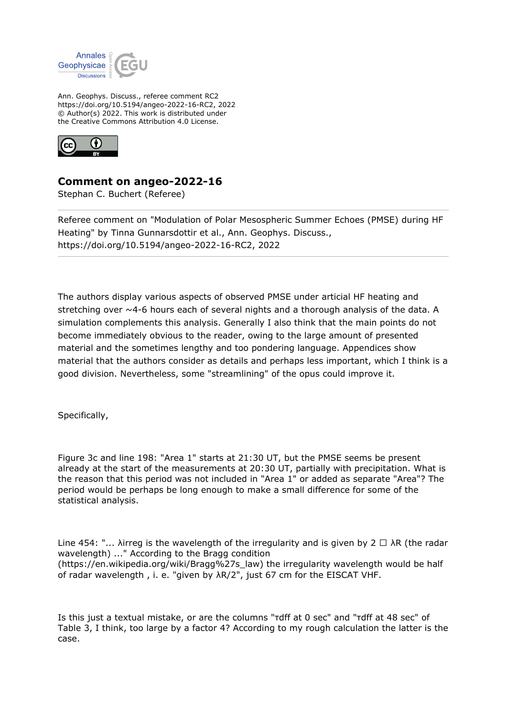

Ann. Geophys. Discuss., referee comment RC2 https://doi.org/10.5194/angeo-2022-16-RC2, 2022 © Author(s) 2022. This work is distributed under the Creative Commons Attribution 4.0 License.



## **Comment on angeo-2022-16**

Stephan C. Buchert (Referee)

Referee comment on "Modulation of Polar Mesospheric Summer Echoes (PMSE) during HF Heating" by Tinna Gunnarsdottir et al., Ann. Geophys. Discuss., https://doi.org/10.5194/angeo-2022-16-RC2, 2022

The authors display various aspects of observed PMSE under articial HF heating and stretching over  $\sim$  4-6 hours each of several nights and a thorough analysis of the data. A simulation complements this analysis. Generally I also think that the main points do not become immediately obvious to the reader, owing to the large amount of presented material and the sometimes lengthy and too pondering language. Appendices show material that the authors consider as details and perhaps less important, which I think is a good division. Nevertheless, some "streamlining" of the opus could improve it.

Specifically,

Figure 3c and line 198: "Area 1" starts at 21:30 UT, but the PMSE seems be present already at the start of the measurements at 20:30 UT, partially with precipitation. What is the reason that this period was not included in "Area 1" or added as separate "Area"? The period would be perhaps be long enough to make a small difference for some of the statistical analysis.

Line 454: "... λirreg is the wavelength of the irregularity and is given by 2  $\Box$   $\lambda$ R (the radar wavelength) ..." According to the Bragg condition (https://en.wikipedia.org/wiki/Bragg%27s\_law) the irregularity wavelength would be half of radar wavelength , i. e. "given by λR/2", just 67 cm for the EISCAT VHF.

Is this just a textual mistake, or are the columns "τdff at 0 sec" and "τdff at 48 sec" of Table 3, I think, too large by a factor 4? According to my rough calculation the latter is the case.